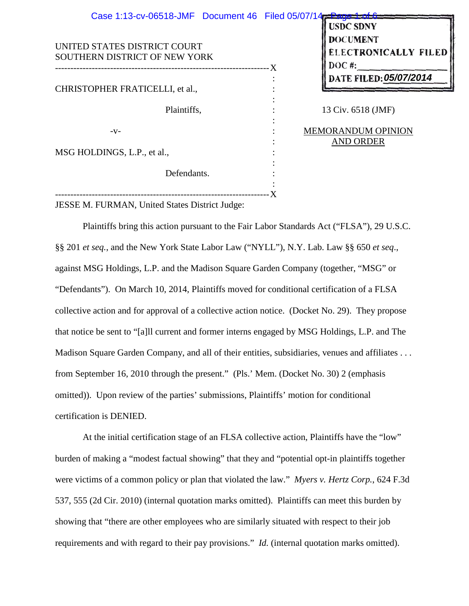UNITED STATES DISTRICT COURT SOUTHERN DISTRICT OF NEW YORK ---------------------------------------------------------------------- CHRISTOPHER FRATICELLI, et al., Plaintiffs,  $-V-$ MSG HOLDINGS, L.P., et al., Defendants. X : : : : : : : : : : :  $-X$ Case 1:13-cv-06518-JMF Document 46 Filed 05/07/14

**USDC SDNY DOCUMENT ELECTRONICALLY FILED 05/07/2014**

13 Civ. 6518 (JMF)

MEMORANDUM OPINION AND ORDER

---------------------------------------------------------------------- JESSE M. FURMAN, United States District Judge:

Plaintiffs bring this action pursuant to the Fair Labor Standards Act ("FLSA"), 29 U.S.C. §§ 201 *et seq.*, and the New York State Labor Law ("NYLL"), N.Y. Lab. Law §§ 650 *et seq*., against MSG Holdings, L.P. and the Madison Square Garden Company (together, "MSG" or "Defendants"). On March 10, 2014, Plaintiffs moved for conditional certification of a FLSA collective action and for approval of a collective action notice. (Docket No. 29). They propose that notice be sent to "[a]ll current and former interns engaged by MSG Holdings, L.P. and The Madison Square Garden Company, and all of their entities, subsidiaries, venues and affiliates . . . from September 16, 2010 through the present." (Pls.' Mem. (Docket No. 30) 2 (emphasis omitted)). Upon review of the parties' submissions, Plaintiffs' motion for conditional certification is DENIED.

At the initial certification stage of an FLSA collective action, Plaintiffs have the "low" burden of making a "modest factual showing" that they and "potential opt-in plaintiffs together were victims of a common policy or plan that violated the law." *Myers v. Hertz Corp.*, 624 F.3d 537, 555 (2d Cir. 2010) (internal quotation marks omitted). Plaintiffs can meet this burden by showing that "there are other employees who are similarly situated with respect to their job requirements and with regard to their pay provisions." *Id.* (internal quotation marks omitted).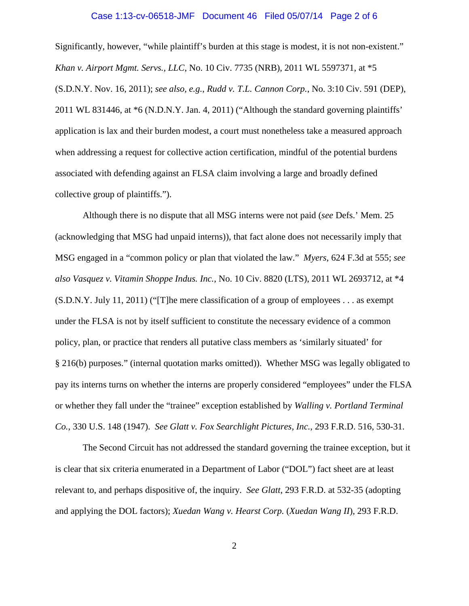### Case 1:13-cv-06518-JMF Document 46 Filed 05/07/14 Page 2 of 6

Significantly, however, "while plaintiff's burden at this stage is modest, it is not non-existent." *Khan v. Airport Mgmt. Servs., LLC*, No. 10 Civ. 7735 (NRB), 2011 WL 5597371, at \*5 (S.D.N.Y. Nov. 16, 2011); *see also, e.g.*, *Rudd v. T.L. Cannon Corp.*, No. 3:10 Civ. 591 (DEP), 2011 WL 831446, at \*6 (N.D.N.Y. Jan. 4, 2011) ("Although the standard governing plaintiffs' application is lax and their burden modest, a court must nonetheless take a measured approach when addressing a request for collective action certification, mindful of the potential burdens associated with defending against an FLSA claim involving a large and broadly defined collective group of plaintiffs.").

Although there is no dispute that all MSG interns were not paid (*see* Defs.' Mem. 25 (acknowledging that MSG had unpaid interns)), that fact alone does not necessarily imply that MSG engaged in a "common policy or plan that violated the law." *Myers*, 624 F.3d at 555; *see also Vasquez v. Vitamin Shoppe Indus. Inc.*, No. 10 Civ. 8820 (LTS), 2011 WL 2693712, at \*4 (S.D.N.Y. July 11, 2011) ("[T]he mere classification of a group of employees . . . as exempt under the FLSA is not by itself sufficient to constitute the necessary evidence of a common policy, plan, or practice that renders all putative class members as 'similarly situated' for § 216(b) purposes." (internal quotation marks omitted)). Whether MSG was legally obligated to pay its interns turns on whether the interns are properly considered "employees" under the FLSA or whether they fall under the "trainee" exception established by *Walling v. Portland Terminal Co.*, 330 U.S. 148 (1947). *See Glatt v. Fox Searchlight Pictures, Inc.*, 293 F.R.D. 516, 530-31.

The Second Circuit has not addressed the standard governing the trainee exception, but it is clear that six criteria enumerated in a Department of Labor ("DOL") fact sheet are at least relevant to, and perhaps dispositive of, the inquiry. *See Glatt*, 293 F.R.D. at 532-35 (adopting and applying the DOL factors); *Xuedan Wang v. Hearst Corp.* (*Xuedan Wang II*), 293 F.R.D.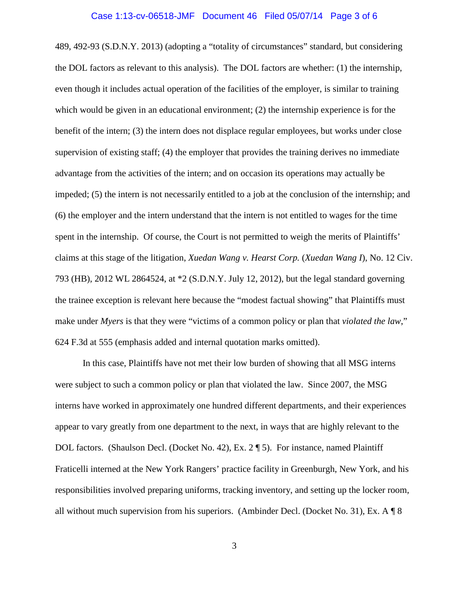### Case 1:13-cv-06518-JMF Document 46 Filed 05/07/14 Page 3 of 6

489, 492-93 (S.D.N.Y. 2013) (adopting a "totality of circumstances" standard, but considering the DOL factors as relevant to this analysis). The DOL factors are whether: (1) the internship, even though it includes actual operation of the facilities of the employer, is similar to training which would be given in an educational environment; (2) the internship experience is for the benefit of the intern; (3) the intern does not displace regular employees, but works under close supervision of existing staff; (4) the employer that provides the training derives no immediate advantage from the activities of the intern; and on occasion its operations may actually be impeded; (5) the intern is not necessarily entitled to a job at the conclusion of the internship; and (6) the employer and the intern understand that the intern is not entitled to wages for the time spent in the internship. Of course, the Court is not permitted to weigh the merits of Plaintiffs' claims at this stage of the litigation, *Xuedan Wang v. Hearst Corp.* (*Xuedan Wang I*), No. 12 Civ. 793 (HB), 2012 WL 2864524, at \*2 (S.D.N.Y. July 12, 2012), but the legal standard governing the trainee exception is relevant here because the "modest factual showing" that Plaintiffs must make under *Myers* is that they were "victims of a common policy or plan that *violated the law*," 624 F.3d at 555 (emphasis added and internal quotation marks omitted).

In this case, Plaintiffs have not met their low burden of showing that all MSG interns were subject to such a common policy or plan that violated the law. Since 2007, the MSG interns have worked in approximately one hundred different departments, and their experiences appear to vary greatly from one department to the next, in ways that are highly relevant to the DOL factors. (Shaulson Decl. (Docket No. 42), Ex. 2 ¶ 5). For instance, named Plaintiff Fraticelli interned at the New York Rangers' practice facility in Greenburgh, New York, and his responsibilities involved preparing uniforms, tracking inventory, and setting up the locker room, all without much supervision from his superiors. (Ambinder Decl. (Docket No. 31), Ex. A ¶ 8

3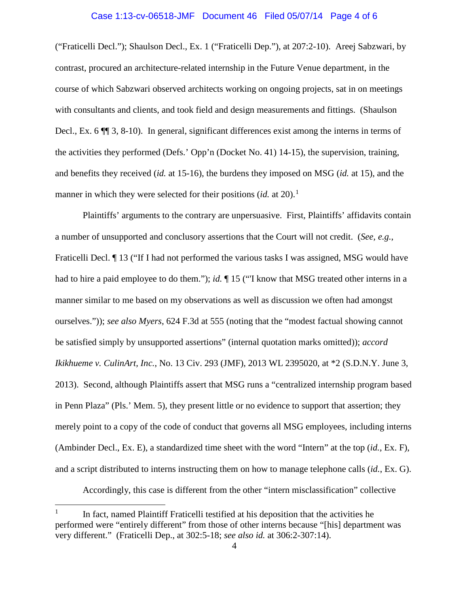# Case 1:13-cv-06518-JMF Document 46 Filed 05/07/14 Page 4 of 6

("Fraticelli Decl."); Shaulson Decl., Ex. 1 ("Fraticelli Dep."), at 207:2-10). Areej Sabzwari, by contrast, procured an architecture-related internship in the Future Venue department, in the course of which Sabzwari observed architects working on ongoing projects, sat in on meetings with consultants and clients, and took field and design measurements and fittings. (Shaulson Decl., Ex. 6 ¶¶ 3, 8-10). In general, significant differences exist among the interns in terms of the activities they performed (Defs.' Opp'n (Docket No. 41) 14-15), the supervision, training, and benefits they received (*id.* at 15-16), the burdens they imposed on MSG (*id.* at 15), and the manner in which they were selected for their positions  $(id$ . at 20).<sup>1</sup>

Plaintiffs' arguments to the contrary are unpersuasive. First, Plaintiffs' affidavits contain a number of unsupported and conclusory assertions that the Court will not credit. (*See, e.g.*, Fraticelli Decl. ¶ 13 ("If I had not performed the various tasks I was assigned, MSG would have had to hire a paid employee to do them."); *id.*  $\P$  15 ("I know that MSG treated other interns in a manner similar to me based on my observations as well as discussion we often had amongst ourselves.")); *see also Myers*, 624 F.3d at 555 (noting that the "modest factual showing cannot be satisfied simply by unsupported assertions" (internal quotation marks omitted)); *accord Ikikhueme v. CulinArt, Inc.*, No. 13 Civ. 293 (JMF), 2013 WL 2395020, at \*2 (S.D.N.Y. June 3, 2013). Second, although Plaintiffs assert that MSG runs a "centralized internship program based in Penn Plaza" (Pls.' Mem. 5), they present little or no evidence to support that assertion; they merely point to a copy of the code of conduct that governs all MSG employees, including interns (Ambinder Decl., Ex. E), a standardized time sheet with the word "Intern" at the top (*id.*, Ex. F), and a script distributed to interns instructing them on how to manage telephone calls (*id.*, Ex. G).

Accordingly, this case is different from the other "intern misclassification" collective

t

In fact, named Plaintiff Fraticelli testified at his deposition that the activities he performed were "entirely different" from those of other interns because "[his] department was very different." (Fraticelli Dep., at 302:5-18; *see also id.* at 306:2-307:14).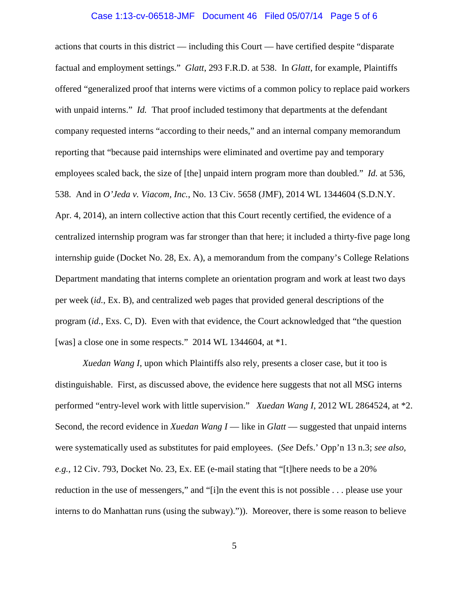### Case 1:13-cv-06518-JMF Document 46 Filed 05/07/14 Page 5 of 6

actions that courts in this district — including this Court — have certified despite "disparate factual and employment settings." *Glatt*, 293 F.R.D. at 538. In *Glatt*, for example, Plaintiffs offered "generalized proof that interns were victims of a common policy to replace paid workers with unpaid interns." *Id.* That proof included testimony that departments at the defendant company requested interns "according to their needs," and an internal company memorandum reporting that "because paid internships were eliminated and overtime pay and temporary employees scaled back, the size of [the] unpaid intern program more than doubled." *Id.* at 536, 538. And in *O'Jeda v. Viacom, Inc.*, No. 13 Civ. 5658 (JMF), 2014 WL 1344604 (S.D.N.Y. Apr. 4, 2014), an intern collective action that this Court recently certified, the evidence of a centralized internship program was far stronger than that here; it included a thirty-five page long internship guide (Docket No. 28, Ex. A), a memorandum from the company's College Relations Department mandating that interns complete an orientation program and work at least two days per week (*id.*, Ex. B), and centralized web pages that provided general descriptions of the program (*id.*, Exs. C, D). Even with that evidence, the Court acknowledged that "the question [was] a close one in some respects." 2014 WL 1344604, at \*1.

*Xuedan Wang I*, upon which Plaintiffs also rely, presents a closer case, but it too is distinguishable. First, as discussed above, the evidence here suggests that not all MSG interns performed "entry-level work with little supervision." *Xuedan Wang I*, 2012 WL 2864524, at \*2. Second, the record evidence in *Xuedan Wang I* — like in *Glatt* — suggested that unpaid interns were systematically used as substitutes for paid employees. (*See* Defs.' Opp'n 13 n.3; *see also, e.g.*, 12 Civ. 793, Docket No. 23, Ex. EE (e-mail stating that "[t]here needs to be a 20% reduction in the use of messengers," and "[i]n the event this is not possible . . . please use your interns to do Manhattan runs (using the subway).")). Moreover, there is some reason to believe

5